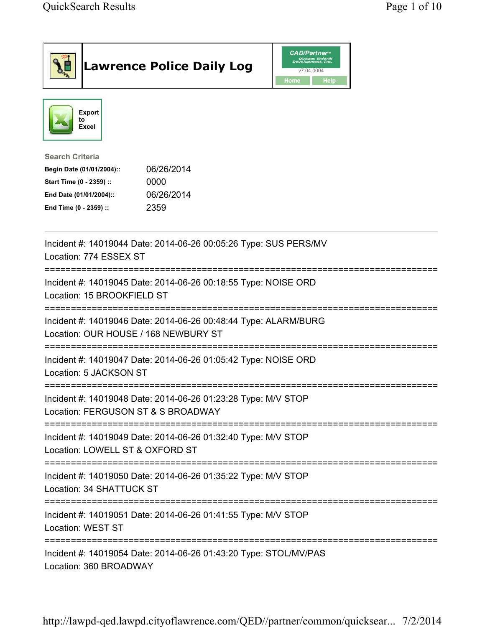|                                                                                                                                    |                                     | <b>Lawrence Police Daily Log</b>                                 | <b>CAD/Partner</b> "<br>Queues Enforth<br>Development, Inc.<br>v7.04.0004<br>Home<br><b>Help</b> |  |  |
|------------------------------------------------------------------------------------------------------------------------------------|-------------------------------------|------------------------------------------------------------------|--------------------------------------------------------------------------------------------------|--|--|
|                                                                                                                                    | <b>Export</b><br>to<br><b>Excel</b> |                                                                  |                                                                                                  |  |  |
| <b>Search Criteria</b><br>Start Time (0 - 2359) ::<br>End Date (01/01/2004)::<br>End Time (0 - 2359) ::                            | Begin Date (01/01/2004)::           | 06/26/2014<br>0000<br>06/26/2014<br>2359                         |                                                                                                  |  |  |
| Incident #: 14019044 Date: 2014-06-26 00:05:26 Type: SUS PERS/MV<br>Location: 774 ESSEX ST                                         |                                     |                                                                  |                                                                                                  |  |  |
| :=================================<br>Incident #: 14019045 Date: 2014-06-26 00:18:55 Type: NOISE ORD<br>Location: 15 BROOKFIELD ST |                                     |                                                                  |                                                                                                  |  |  |
| Incident #: 14019046 Date: 2014-06-26 00:48:44 Type: ALARM/BURG<br>Location: OUR HOUSE / 168 NEWBURY ST                            |                                     |                                                                  |                                                                                                  |  |  |
| Incident #: 14019047 Date: 2014-06-26 01:05:42 Type: NOISE ORD<br>Location: 5 JACKSON ST                                           |                                     |                                                                  |                                                                                                  |  |  |
| Incident #: 14019048 Date: 2014-06-26 01:23:28 Type: M/V STOP<br>Location: FERGUSON ST & S BROADWAY                                |                                     |                                                                  |                                                                                                  |  |  |
| =============================<br>Incident #: 14019049 Date: 2014-06-26 01:32:40 Type: M/V STOP<br>Location: LOWELL ST & OXFORD ST  |                                     |                                                                  |                                                                                                  |  |  |
| Incident #: 14019050 Date: 2014-06-26 01:35:22 Type: M/V STOP<br>Location: 34 SHATTUCK ST                                          |                                     |                                                                  |                                                                                                  |  |  |
|                                                                                                                                    | Location: WEST ST                   | Incident #: 14019051 Date: 2014-06-26 01:41:55 Type: M/V STOP    |                                                                                                  |  |  |
|                                                                                                                                    | Location: 360 BROADWAY              | Incident #: 14019054 Date: 2014-06-26 01:43:20 Type: STOL/MV/PAS | =================                                                                                |  |  |

http://lawpd-qed.lawpd.cityoflawrence.com/QED//partner/common/quicksear... 7/2/2014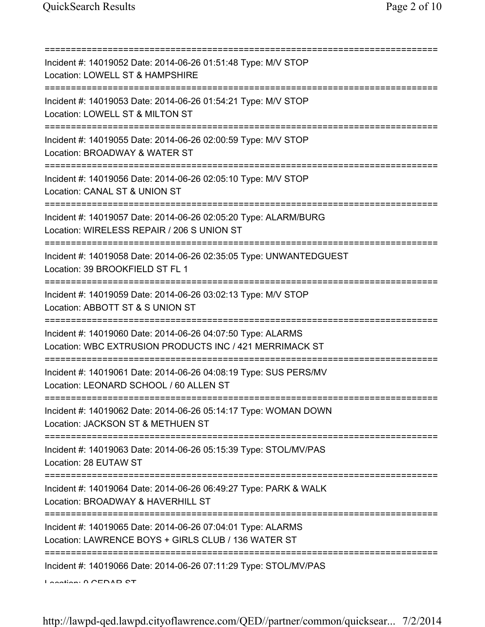| Incident #: 14019052 Date: 2014-06-26 01:51:48 Type: M/V STOP<br>Location: LOWELL ST & HAMPSHIRE<br>=====================                 |
|-------------------------------------------------------------------------------------------------------------------------------------------|
| Incident #: 14019053 Date: 2014-06-26 01:54:21 Type: M/V STOP<br>Location: LOWELL ST & MILTON ST                                          |
| Incident #: 14019055 Date: 2014-06-26 02:00:59 Type: M/V STOP<br>Location: BROADWAY & WATER ST                                            |
| Incident #: 14019056 Date: 2014-06-26 02:05:10 Type: M/V STOP<br>Location: CANAL ST & UNION ST<br>====================================    |
| Incident #: 14019057 Date: 2014-06-26 02:05:20 Type: ALARM/BURG<br>Location: WIRELESS REPAIR / 206 S UNION ST                             |
| Incident #: 14019058 Date: 2014-06-26 02:35:05 Type: UNWANTEDGUEST<br>Location: 39 BROOKFIELD ST FL 1<br>================================ |
| Incident #: 14019059 Date: 2014-06-26 03:02:13 Type: M/V STOP<br>Location: ABBOTT ST & S UNION ST                                         |
| Incident #: 14019060 Date: 2014-06-26 04:07:50 Type: ALARMS<br>Location: WBC EXTRUSION PRODUCTS INC / 421 MERRIMACK ST                    |
| Incident #: 14019061 Date: 2014-06-26 04:08:19 Type: SUS PERS/MV<br>Location: LEONARD SCHOOL / 60 ALLEN ST                                |
| Incident #: 14019062 Date: 2014-06-26 05:14:17 Type: WOMAN DOWN<br>Location: JACKSON ST & METHUEN ST                                      |
| Incident #: 14019063 Date: 2014-06-26 05:15:39 Type: STOL/MV/PAS<br>Location: 28 EUTAW ST                                                 |
| Incident #: 14019064 Date: 2014-06-26 06:49:27 Type: PARK & WALK<br>Location: BROADWAY & HAVERHILL ST                                     |
| Incident #: 14019065 Date: 2014-06-26 07:04:01 Type: ALARMS<br>Location: LAWRENCE BOYS + GIRLS CLUB / 136 WATER ST                        |
| Incident #: 14019066 Date: 2014-06-26 07:11:29 Type: STOL/MV/PAS<br>Landian: A CEDAD CT                                                   |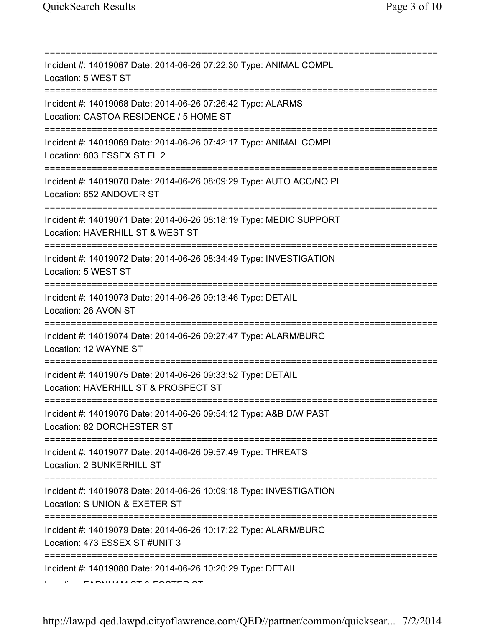=========================================================================== Incident #: 14019067 Date: 2014-06-26 07:22:30 Type: ANIMAL COMPL Location: 5 WEST ST =========================================================================== Incident #: 14019068 Date: 2014-06-26 07:26:42 Type: ALARMS Location: CASTOA RESIDENCE / 5 HOME ST =========================================================================== Incident #: 14019069 Date: 2014-06-26 07:42:17 Type: ANIMAL COMPL Location: 803 ESSEX ST FL 2 =========================================================================== Incident #: 14019070 Date: 2014-06-26 08:09:29 Type: AUTO ACC/NO PI Location: 652 ANDOVER ST =========================================================================== Incident #: 14019071 Date: 2014-06-26 08:18:19 Type: MEDIC SUPPORT Location: HAVERHILL ST & WEST ST =========================================================================== Incident #: 14019072 Date: 2014-06-26 08:34:49 Type: INVESTIGATION Location: 5 WEST ST =========================================================================== Incident #: 14019073 Date: 2014-06-26 09:13:46 Type: DETAIL Location: 26 AVON ST =========================================================================== Incident #: 14019074 Date: 2014-06-26 09:27:47 Type: ALARM/BURG Location: 12 WAYNE ST =========================================================================== Incident #: 14019075 Date: 2014-06-26 09:33:52 Type: DETAIL Location: HAVERHILL ST & PROSPECT ST =========================================================================== Incident #: 14019076 Date: 2014-06-26 09:54:12 Type: A&B D/W PAST Location: 82 DORCHESTER ST =========================================================================== Incident #: 14019077 Date: 2014-06-26 09:57:49 Type: THREATS Location: 2 BUNKERHILL ST =========================================================================== Incident #: 14019078 Date: 2014-06-26 10:09:18 Type: INVESTIGATION Location: S UNION & EXETER ST =========================================================================== Incident #: 14019079 Date: 2014-06-26 10:17:22 Type: ALARM/BURG Location: 473 ESSEX ST #UNIT 3 =========================================================================== Incident #: 14019080 Date: 2014-06-26 10:20:29 Type: DETAIL Location: FARNHAM ST & FOSTER ST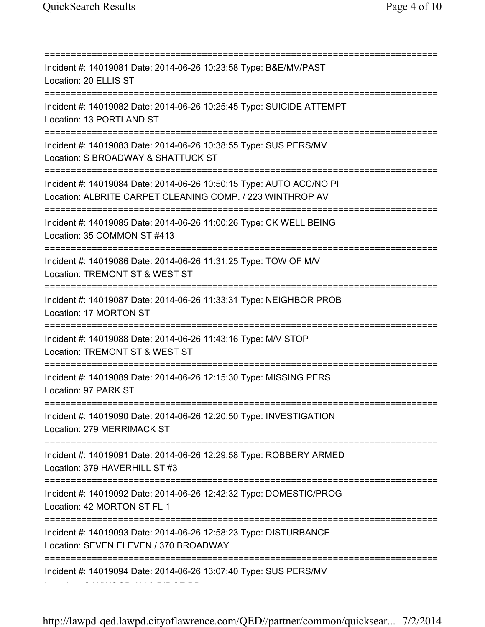=========================================================================== Incident #: 14019081 Date: 2014-06-26 10:23:58 Type: B&E/MV/PAST Location: 20 ELLIS ST =========================================================================== Incident #: 14019082 Date: 2014-06-26 10:25:45 Type: SUICIDE ATTEMPT Location: 13 PORTLAND ST =========================================================================== Incident #: 14019083 Date: 2014-06-26 10:38:55 Type: SUS PERS/MV Location: S BROADWAY & SHATTUCK ST =========================================================================== Incident #: 14019084 Date: 2014-06-26 10:50:15 Type: AUTO ACC/NO PI Location: ALBRITE CARPET CLEANING COMP. / 223 WINTHROP AV =========================================================================== Incident #: 14019085 Date: 2014-06-26 11:00:26 Type: CK WELL BEING Location: 35 COMMON ST #413 =========================================================================== Incident #: 14019086 Date: 2014-06-26 11:31:25 Type: TOW OF M/V Location: TREMONT ST & WEST ST =========================================================================== Incident #: 14019087 Date: 2014-06-26 11:33:31 Type: NEIGHBOR PROB Location: 17 MORTON ST =========================================================================== Incident #: 14019088 Date: 2014-06-26 11:43:16 Type: M/V STOP Location: TREMONT ST & WEST ST =========================================================================== Incident #: 14019089 Date: 2014-06-26 12:15:30 Type: MISSING PERS Location: 97 PARK ST =========================================================================== Incident #: 14019090 Date: 2014-06-26 12:20:50 Type: INVESTIGATION Location: 279 MERRIMACK ST =========================================================================== Incident #: 14019091 Date: 2014-06-26 12:29:58 Type: ROBBERY ARMED Location: 379 HAVERHILL ST #3 =========================================================================== Incident #: 14019092 Date: 2014-06-26 12:42:32 Type: DOMESTIC/PROG Location: 42 MORTON ST FL 1 =========================================================================== Incident #: 14019093 Date: 2014-06-26 12:58:23 Type: DISTURBANCE Location: SEVEN ELEVEN / 370 BROADWAY =========================================================================== Incident #: 14019094 Date: 2014-06-26 13:07:40 Type: SUS PERS/MV

Location: OAKWOOD AV & RIDGE RD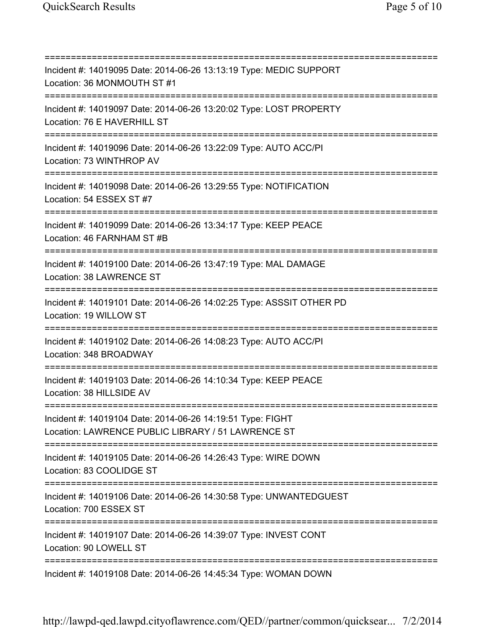=========================================================================== Incident #: 14019095 Date: 2014-06-26 13:13:19 Type: MEDIC SUPPORT Location: 36 MONMOUTH ST #1 =========================================================================== Incident #: 14019097 Date: 2014-06-26 13:20:02 Type: LOST PROPERTY Location: 76 E HAVERHILL ST =========================================================================== Incident #: 14019096 Date: 2014-06-26 13:22:09 Type: AUTO ACC/PI Location: 73 WINTHROP AV =========================================================================== Incident #: 14019098 Date: 2014-06-26 13:29:55 Type: NOTIFICATION Location: 54 ESSEX ST #7 =========================================================================== Incident #: 14019099 Date: 2014-06-26 13:34:17 Type: KEEP PEACE Location: 46 FARNHAM ST #B =========================================================================== Incident #: 14019100 Date: 2014-06-26 13:47:19 Type: MAL DAMAGE Location: 38 LAWRENCE ST =========================================================================== Incident #: 14019101 Date: 2014-06-26 14:02:25 Type: ASSSIT OTHER PD Location: 19 WILLOW ST =========================================================================== Incident #: 14019102 Date: 2014-06-26 14:08:23 Type: AUTO ACC/PI Location: 348 BROADWAY =========================================================================== Incident #: 14019103 Date: 2014-06-26 14:10:34 Type: KEEP PEACE Location: 38 HILLSIDE AV =========================================================================== Incident #: 14019104 Date: 2014-06-26 14:19:51 Type: FIGHT Location: LAWRENCE PUBLIC LIBRARY / 51 LAWRENCE ST =========================================================================== Incident #: 14019105 Date: 2014-06-26 14:26:43 Type: WIRE DOWN Location: 83 COOLIDGE ST =========================================================================== Incident #: 14019106 Date: 2014-06-26 14:30:58 Type: UNWANTEDGUEST Location: 700 ESSEX ST =========================================================================== Incident #: 14019107 Date: 2014-06-26 14:39:07 Type: INVEST CONT Location: 90 LOWELL ST =========================================================================== Incident #: 14019108 Date: 2014-06-26 14:45:34 Type: WOMAN DOWN

http://lawpd-qed.lawpd.cityoflawrence.com/QED//partner/common/quicksear... 7/2/2014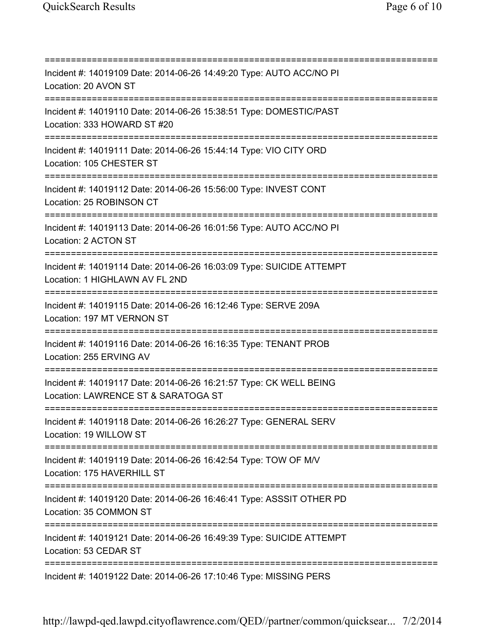=========================================================================== Incident #: 14019109 Date: 2014-06-26 14:49:20 Type: AUTO ACC/NO PI Location: 20 AVON ST =========================================================================== Incident #: 14019110 Date: 2014-06-26 15:38:51 Type: DOMESTIC/PAST Location: 333 HOWARD ST #20 =========================================================================== Incident #: 14019111 Date: 2014-06-26 15:44:14 Type: VIO CITY ORD Location: 105 CHESTER ST =========================================================================== Incident #: 14019112 Date: 2014-06-26 15:56:00 Type: INVEST CONT Location: 25 ROBINSON CT =========================================================================== Incident #: 14019113 Date: 2014-06-26 16:01:56 Type: AUTO ACC/NO PI Location: 2 ACTON ST =========================================================================== Incident #: 14019114 Date: 2014-06-26 16:03:09 Type: SUICIDE ATTEMPT Location: 1 HIGHLAWN AV FL 2ND =========================================================================== Incident #: 14019115 Date: 2014-06-26 16:12:46 Type: SERVE 209A Location: 197 MT VERNON ST =========================================================================== Incident #: 14019116 Date: 2014-06-26 16:16:35 Type: TENANT PROB Location: 255 ERVING AV =========================================================================== Incident #: 14019117 Date: 2014-06-26 16:21:57 Type: CK WELL BEING Location: LAWRENCE ST & SARATOGA ST =========================================================================== Incident #: 14019118 Date: 2014-06-26 16:26:27 Type: GENERAL SERV Location: 19 WILLOW ST =========================================================================== Incident #: 14019119 Date: 2014-06-26 16:42:54 Type: TOW OF M/V Location: 175 HAVERHILL ST =========================================================================== Incident #: 14019120 Date: 2014-06-26 16:46:41 Type: ASSSIT OTHER PD Location: 35 COMMON ST =========================================================================== Incident #: 14019121 Date: 2014-06-26 16:49:39 Type: SUICIDE ATTEMPT Location: 53 CEDAR ST =========================================================================== Incident #: 14019122 Date: 2014-06-26 17:10:46 Type: MISSING PERS

http://lawpd-qed.lawpd.cityoflawrence.com/QED//partner/common/quicksear... 7/2/2014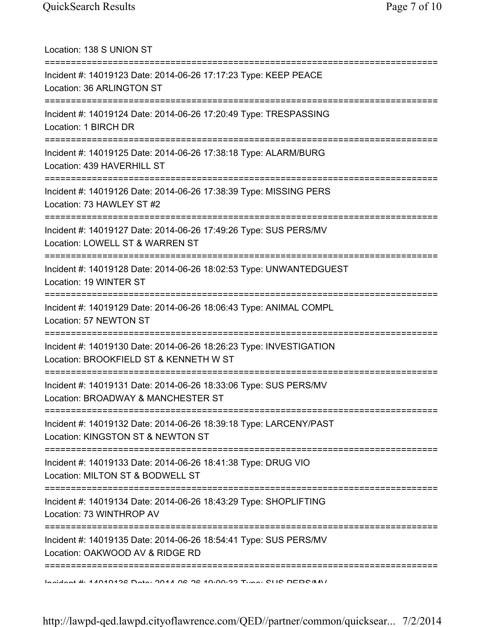| Location: 138 S UNION ST                                                                                                               |
|----------------------------------------------------------------------------------------------------------------------------------------|
| Incident #: 14019123 Date: 2014-06-26 17:17:23 Type: KEEP PEACE<br>Location: 36 ARLINGTON ST<br>===================                    |
| Incident #: 14019124 Date: 2014-06-26 17:20:49 Type: TRESPASSING<br>Location: 1 BIRCH DR                                               |
| Incident #: 14019125 Date: 2014-06-26 17:38:18 Type: ALARM/BURG<br>Location: 439 HAVERHILL ST                                          |
| Incident #: 14019126 Date: 2014-06-26 17:38:39 Type: MISSING PERS<br>Location: 73 HAWLEY ST #2<br>==================================== |
| Incident #: 14019127 Date: 2014-06-26 17:49:26 Type: SUS PERS/MV<br>Location: LOWELL ST & WARREN ST                                    |
| Incident #: 14019128 Date: 2014-06-26 18:02:53 Type: UNWANTEDGUEST<br>Location: 19 WINTER ST                                           |
| :======================<br>Incident #: 14019129 Date: 2014-06-26 18:06:43 Type: ANIMAL COMPL<br>Location: 57 NEWTON ST                 |
| Incident #: 14019130 Date: 2014-06-26 18:26:23 Type: INVESTIGATION<br>Location: BROOKFIELD ST & KENNETH W ST                           |
| Incident #: 14019131 Date: 2014-06-26 18:33:06 Type: SUS PERS/MV<br>Location: BROADWAY & MANCHESTER ST                                 |
| Incident #: 14019132 Date: 2014-06-26 18:39:18 Type: LARCENY/PAST<br>Location: KINGSTON ST & NEWTON ST                                 |
| Incident #: 14019133 Date: 2014-06-26 18:41:38 Type: DRUG VIO<br>Location: MILTON ST & BODWELL ST                                      |
| Incident #: 14019134 Date: 2014-06-26 18:43:29 Type: SHOPLIFTING<br>Location: 73 WINTHROP AV                                           |
| Incident #: 14019135 Date: 2014-06-26 18:54:41 Type: SUS PERS/MV<br>Location: OAKWOOD AV & RIDGE RD                                    |
| Indident # 44040492 Deta: 2044 02 20 40:00:22 Tune: CLIC DEDC/M/                                                                       |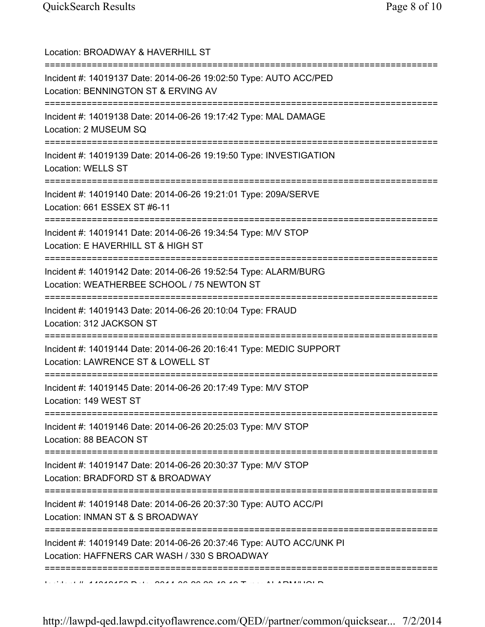| Location: BROADWAY & HAVERHILL ST<br>=================================                                                                       |
|----------------------------------------------------------------------------------------------------------------------------------------------|
| Incident #: 14019137 Date: 2014-06-26 19:02:50 Type: AUTO ACC/PED<br>Location: BENNINGTON ST & ERVING AV                                     |
| Incident #: 14019138 Date: 2014-06-26 19:17:42 Type: MAL DAMAGE<br>Location: 2 MUSEUM SQ<br>====================================             |
| Incident #: 14019139 Date: 2014-06-26 19:19:50 Type: INVESTIGATION<br><b>Location: WELLS ST</b>                                              |
| Incident #: 14019140 Date: 2014-06-26 19:21:01 Type: 209A/SERVE<br>Location: 661 ESSEX ST #6-11                                              |
| :====================================<br>Incident #: 14019141 Date: 2014-06-26 19:34:54 Type: M/V STOP<br>Location: E HAVERHILL ST & HIGH ST |
| Incident #: 14019142 Date: 2014-06-26 19:52:54 Type: ALARM/BURG<br>Location: WEATHERBEE SCHOOL / 75 NEWTON ST                                |
| Incident #: 14019143 Date: 2014-06-26 20:10:04 Type: FRAUD<br>Location: 312 JACKSON ST                                                       |
| Incident #: 14019144 Date: 2014-06-26 20:16:41 Type: MEDIC SUPPORT<br>Location: LAWRENCE ST & LOWELL ST                                      |
| Incident #: 14019145 Date: 2014-06-26 20:17:49 Type: M/V STOP<br>Location: 149 WEST ST<br>====================================               |
| Incident #: 14019146 Date: 2014-06-26 20:25:03 Type: M/V STOP<br>Location: 88 BEACON ST                                                      |
| Incident #: 14019147 Date: 2014-06-26 20:30:37 Type: M/V STOP<br>Location: BRADFORD ST & BROADWAY                                            |
| :===========<br>Incident #: 14019148 Date: 2014-06-26 20:37:30 Type: AUTO ACC/PI<br>Location: INMAN ST & S BROADWAY                          |
| Incident #: 14019149 Date: 2014-06-26 20:37:46 Type: AUTO ACC/UNK PI<br>Location: HAFFNERS CAR WASH / 330 S BROADWAY                         |
|                                                                                                                                              |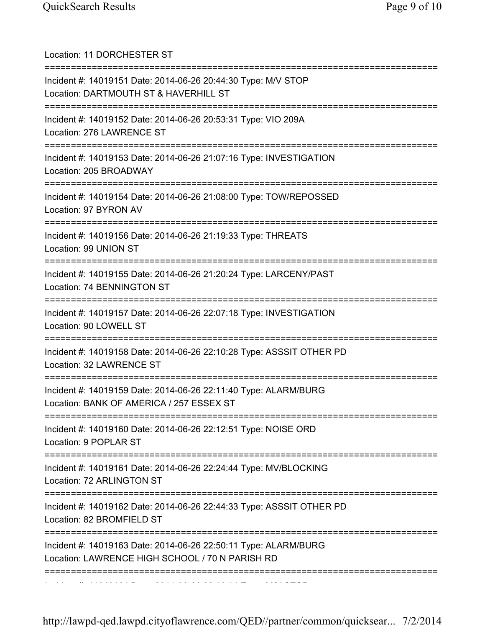| Location: 11 DORCHESTER ST<br>=====================================                                                                       |
|-------------------------------------------------------------------------------------------------------------------------------------------|
| Incident #: 14019151 Date: 2014-06-26 20:44:30 Type: M/V STOP<br>Location: DARTMOUTH ST & HAVERHILL ST                                    |
| Incident #: 14019152 Date: 2014-06-26 20:53:31 Type: VIO 209A<br>Location: 276 LAWRENCE ST                                                |
| Incident #: 14019153 Date: 2014-06-26 21:07:16 Type: INVESTIGATION<br>Location: 205 BROADWAY                                              |
| Incident #: 14019154 Date: 2014-06-26 21:08:00 Type: TOW/REPOSSED<br>Location: 97 BYRON AV                                                |
| Incident #: 14019156 Date: 2014-06-26 21:19:33 Type: THREATS<br>Location: 99 UNION ST                                                     |
| ======================================<br>Incident #: 14019155 Date: 2014-06-26 21:20:24 Type: LARCENY/PAST<br>Location: 74 BENNINGTON ST |
| Incident #: 14019157 Date: 2014-06-26 22:07:18 Type: INVESTIGATION<br>Location: 90 LOWELL ST                                              |
| Incident #: 14019158 Date: 2014-06-26 22:10:28 Type: ASSSIT OTHER PD<br>Location: 32 LAWRENCE ST                                          |
| Incident #: 14019159 Date: 2014-06-26 22:11:40 Type: ALARM/BURG<br>Location: BANK OF AMERICA / 257 ESSEX ST                               |
| Incident #: 14019160 Date: 2014-06-26 22:12:51 Type: NOISE ORD<br>Location: 9 POPLAR ST                                                   |
| ;===================<br>Incident #: 14019161 Date: 2014-06-26 22:24:44 Type: MV/BLOCKING<br>Location: 72 ARLINGTON ST                     |
| Incident #: 14019162 Date: 2014-06-26 22:44:33 Type: ASSSIT OTHER PD<br>Location: 82 BROMFIELD ST                                         |
| Incident #: 14019163 Date: 2014-06-26 22:50:11 Type: ALARM/BURG<br>Location: LAWRENCE HIGH SCHOOL / 70 N PARISH RD                        |
|                                                                                                                                           |